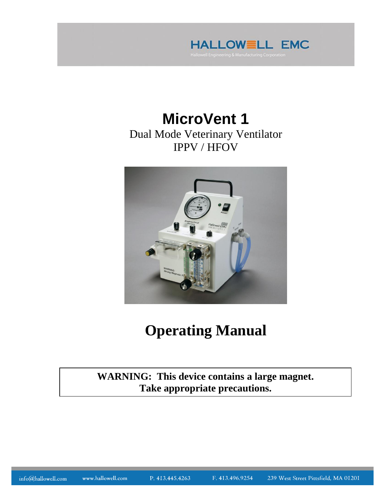

## **MicroVent 1** Dual Mode Veterinary Ventilator IPPV / HFOV



# **Operating Manual**

**WARNING: This device contains a large magnet. Take appropriate precautions.**

info@hallowell.com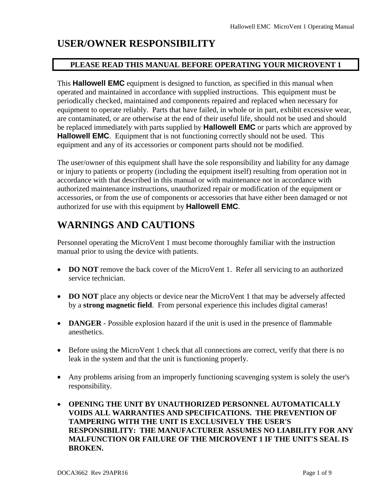### **USER/OWNER RESPONSIBILITY**

### **PLEASE READ THIS MANUAL BEFORE OPERATING YOUR MICROVENT 1**

This **Hallowell EMC** equipment is designed to function, as specified in this manual when operated and maintained in accordance with supplied instructions. This equipment must be periodically checked, maintained and components repaired and replaced when necessary for equipment to operate reliably. Parts that have failed, in whole or in part, exhibit excessive wear, are contaminated, or are otherwise at the end of their useful life, should not be used and should be replaced immediately with parts supplied by **Hallowell EMC** or parts which are approved by **Hallowell EMC**. Equipment that is not functioning correctly should not be used. This equipment and any of its accessories or component parts should not be modified.

The user/owner of this equipment shall have the sole responsibility and liability for any damage or injury to patients or property (including the equipment itself) resulting from operation not in accordance with that described in this manual or with maintenance not in accordance with authorized maintenance instructions, unauthorized repair or modification of the equipment or accessories, or from the use of components or accessories that have either been damaged or not authorized for use with this equipment by **Hallowell EMC**.

### **WARNINGS AND CAUTIONS**

Personnel operating the MicroVent 1 must become thoroughly familiar with the instruction manual prior to using the device with patients.

- **DO NOT** remove the back cover of the MicroVent 1. Refer all servicing to an authorized service technician.
- **DO NOT** place any objects or device near the MicroVent 1 that may be adversely affected by a **strong magnetic field**. From personal experience this includes digital cameras!
- **DANGER** Possible explosion hazard if the unit is used in the presence of flammable anesthetics.
- Before using the MicroVent 1 check that all connections are correct, verify that there is no leak in the system and that the unit is functioning properly.
- Any problems arising from an improperly functioning scavenging system is solely the user's responsibility.
- **OPENING THE UNIT BY UNAUTHORIZED PERSONNEL AUTOMATICALLY VOIDS ALL WARRANTIES AND SPECIFICATIONS. THE PREVENTION OF TAMPERING WITH THE UNIT IS EXCLUSIVELY THE USER'S RESPONSIBILITY: THE MANUFACTURER ASSUMES NO LIABILITY FOR ANY MALFUNCTION OR FAILURE OF THE MICROVENT 1 IF THE UNIT'S SEAL IS BROKEN.**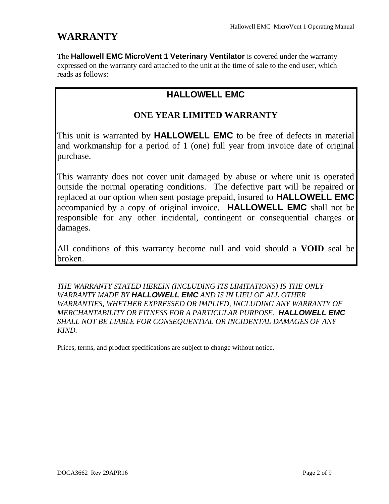### **WARRANTY**

The **Hallowell EMC MicroVent 1 Veterinary Ventilator** is covered under the warranty expressed on the warranty card attached to the unit at the time of sale to the end user, which reads as follows:

### **HALLOWELL EMC**

### **ONE YEAR LIMITED WARRANTY**

This unit is warranted by **HALLOWELL EMC** to be free of defects in material and workmanship for a period of 1 (one) full year from invoice date of original purchase.

This warranty does not cover unit damaged by abuse or where unit is operated outside the normal operating conditions. The defective part will be repaired or replaced at our option when sent postage prepaid, insured to **HALLOWELL EMC**  accompanied by a copy of original invoice. **HALLOWELL EMC** shall not be responsible for any other incidental, contingent or consequential charges or damages.

All conditions of this warranty become null and void should a **VOID** seal be broken.

*THE WARRANTY STATED HEREIN (INCLUDING ITS LIMITATIONS) IS THE ONLY WARRANTY MADE BY HALLOWELL EMC AND IS IN LIEU OF ALL OTHER WARRANTIES, WHETHER EXPRESSED OR IMPLIED, INCLUDING ANY WARRANTY OF MERCHANTABILITY OR FITNESS FOR A PARTICULAR PURPOSE. HALLOWELL EMC SHALL NOT BE LIABLE FOR CONSEQUENTIAL OR INCIDENTAL DAMAGES OF ANY KIND.*

Prices, terms, and product specifications are subject to change without notice.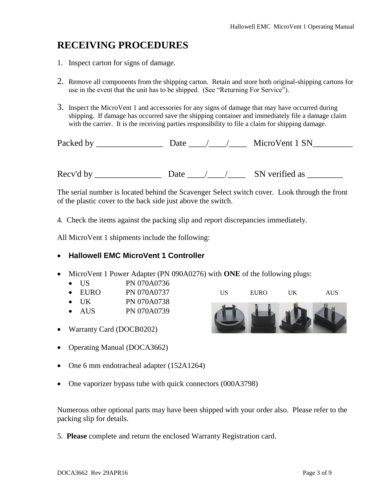### **RECEIVING PROCEDURES**

- 1. Inspect carton for signs of damage.
- 2. Remove all components from the shipping carton. Retain and store both original-shipping cartons for use in the event that the unit has to be shipped. (See "Returning For Service").
- 3. Inspect the MicroVent 1 and accessories for any signs of damage that may have occurred during shipping. If damage has occurred save the shipping container and immediately file a damage claim with the carrier. It is the receiving parties responsibility to file a claim for shipping damage.

Packed by \_\_\_\_\_\_\_\_\_\_\_\_\_\_\_\_\_\_\_\_\_ Date \_\_\_\_\_/\_\_\_\_\_/ \_\_\_\_\_\_ MicroVent 1 SN\_\_\_\_\_\_\_\_\_

Recv'd by \_\_\_\_\_\_\_\_\_\_\_\_\_\_\_\_\_\_\_ Date \_\_\_\_/\_\_\_\_/\_\_\_\_\_\_ SN verified as \_\_\_\_\_\_\_\_\_\_\_\_

The serial number is located behind the Scavenger Select switch cover. Look through the front of the plastic cover to the back side just above the switch.

4. Check the items against the packing slip and report discrepancies immediately.

All MicroVent 1 shipments include the following:

#### **Hallowell EMC MicroVent 1 Controller**

- MicroVent 1 Power Adapter (PN 090A0276) with **ONE** of the following plugs:
	- US PN 070A0736
	- $\bullet$  EURO PN 070A0737
	- UK PN 070A0738
	- AUS PN 070A0739
- Warranty Card (DOCB0202)
- Operating Manual (DOCA3662)
- One 6 mm endotracheal adapter (152A1264)
- One vaporizer bypass tube with quick connectors (000A3798)

Numerous other optional parts may have been shipped with your order also. Please refer to the packing slip for details.

5. **Please** complete and return the enclosed Warranty Registration card.

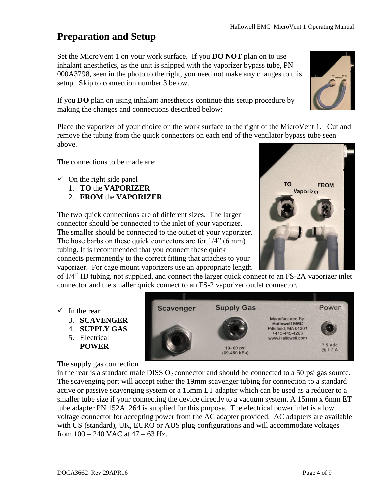### **Preparation and Setup**

Set the MicroVent 1 on your work surface. If you **DO NOT** plan on to use inhalant anesthetics, as the unit is shipped with the vaporizer bypass tube, PN 000A3798, seen in the photo to the right, you need not make any changes to this setup. Skip to connection number 3 below.

If you **DO** plan on using inhalant anesthetics continue this setup procedure by making the changes and connections described below:

Place the vaporizer of your choice on the work surface to the right of the MicroVent 1. Cut and remove the tubing from the quick connectors on each end of the ventilator bypass tube seen above.

The connections to be made are:

- $\checkmark$  On the right side panel
	- 1. **TO** the **VAPORIZER**
	- 2. **FROM** the **VAPORIZER**

The two quick connections are of different sizes. The larger connector should be connected to the inlet of your vaporizer. The smaller should be connected to the outlet of your vaporizer. The hose barbs on these quick connectors are for 1/4" (6 mm) tubing. It is recommended that you connect these quick connects permanently to the correct fitting that attaches to your vaporizer. For cage mount vaporizers use an appropriate length



of 1/4" ID tubing, not supplied, and connect the larger quick connect to an FS-2A vaporizer inlet connector and the smaller quick connect to an FS-2 vaporizer outlet connector.

- $\checkmark$  In the rear:
	- 3. **SCAVENGER**
	- 4. **SUPPLY GAS**
	- 5. Electrical **POWER**

The supply gas connection



in the rear is a standard male DISS  $O_2$  connector and should be connected to a 50 psi gas source. The scavenging port will accept either the 19mm scavenger tubing for connection to a standard active or passive scavenging system or a 15mm ET adapter which can be used as a reducer to a smaller tube size if your connecting the device directly to a vacuum system. A 15mm x 6mm ET tube adapter PN 152A1264 is supplied for this purpose. The electrical power inlet is a low voltage connector for accepting power from the AC adapter provided. AC adapters are available with US (standard), UK, EURO or AUS plug configurations and will accommodate voltages from 100 – 240 VAC at 47 – 63 Hz.

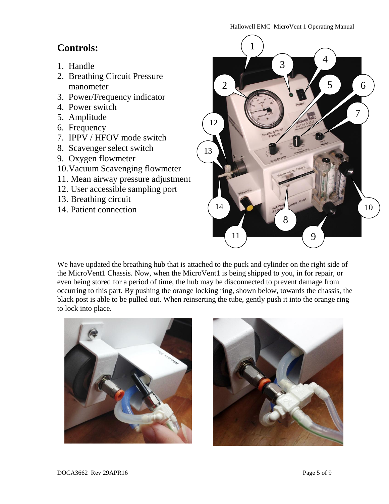#### Hallowell EMC MicroVent 1 Operating Manual

### **Controls:**

- 1. Handle
- 2. Breathing Circuit Pressure manometer
- 3. Power/Frequency indicator
- 4. Power switch
- 5. Amplitude
- 6. Frequency
- 7. IPPV / HFOV mode switch
- 8. Scavenger select switch
- 9. Oxygen flowmeter
- 10.Vacuum Scavenging flowmeter
- 11. Mean airway pressure adjustment
- 12. User accessible sampling port
- 13. Breathing circuit
- 14. Patient connection



We have updated the breathing hub that is attached to the puck and cylinder on the right side of the MicroVent1 Chassis. Now, when the MicroVent1 is being shipped to you, in for repair, or even being stored for a period of time, the hub may be disconnected to prevent damage from occurring to this part. By pushing the orange locking ring, shown below, towards the chassis, the black post is able to be pulled out. When reinserting the tube, gently push it into the orange ring to lock into place.



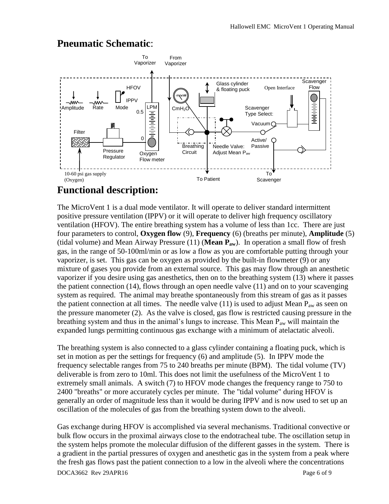#### To From Vaporizer Vaporizer **Scavenger** Glass cylinder **HFOV** Open Interface Flow & floating puck ٦ø hight IPPV w ᄴ 中中中 LPM Amplitude Rate Mode  $\mathsf{CmH}_2\mathsf{O}$   $\qquad \qquad$  Scavenger 0.5 电电电电电 Type Select: Vacuum Filter  $\Omega$ Active/ Breathing Needle Valve: Passive Pressure **Circuit** Adjust Mean Paw Regulator Oxygen Flow meter 10-60 psi gas supply To To Patient Scavenger (Oxygen)

### **Pneumatic Schematic**:

### **Functional description:**

The MicroVent 1 is a dual mode ventilator. It will operate to deliver standard intermittent positive pressure ventilation (IPPV) or it will operate to deliver high frequency oscillatory ventilation (HFOV). The entire breathing system has a volume of less than 1cc. There are just four parameters to control, **Oxygen flow** (9), **Frequency** (6) (breaths per minute), **Amplitude** (5) (tidal volume) and Mean Airway Pressure (11) (**Mean Paw**). In operation a small flow of fresh gas, in the range of 50-100ml/min or as low a flow as you are comfortable putting through your vaporizer, is set. This gas can be oxygen as provided by the built-in flowmeter (9) or any mixture of gases you provide from an external source. This gas may flow through an anesthetic vaporizer if you desire using gas anesthetics, then on to the breathing system (13) where it passes the patient connection (14), flows through an open needle valve (11) and on to your scavenging system as required. The animal may breathe spontaneously from this stream of gas as it passes the patient connection at all times. The needle valve (11) is used to adjust Mean  $P_{aw}$  as seen on the pressure manometer (2). As the valve is closed, gas flow is restricted causing pressure in the breathing system and thus in the animal's lungs to increase. This Mean  $P_{aw}$  will maintain the expanded lungs permitting continuous gas exchange with a minimum of atelactatic alveoli.

The breathing system is also connected to a glass cylinder containing a floating puck, which is set in motion as per the settings for frequency (6) and amplitude (5). In IPPV mode the frequency selectable ranges from 75 to 240 breaths per minute (BPM). The tidal volume (TV) deliverable is from zero to 10ml. This does not limit the usefulness of the MicroVent 1 to extremely small animals. A switch (7) to HFOV mode changes the frequency range to 750 to 2400 "breaths" or more accurately cycles per minute. The "tidal volume" during HFOV is generally an order of magnitude less than it would be during IPPV and is now used to set up an oscillation of the molecules of gas from the breathing system down to the alveoli.

DOCA3662 Rev 29APR16 Page 6 of 9 Gas exchange during HFOV is accomplished via several mechanisms. Traditional convective or bulk flow occurs in the proximal airways close to the endotracheal tube. The oscillation setup in the system helps promote the molecular diffusion of the different gasses in the system. There is a gradient in the partial pressures of oxygen and anesthetic gas in the system from a peak where the fresh gas flows past the patient connection to a low in the alveoli where the concentrations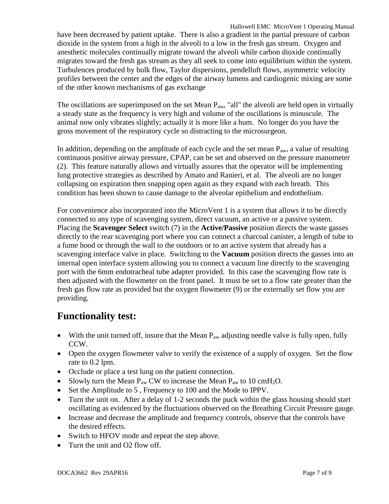Hallowell EMC MicroVent 1 Operating Manual have been decreased by patient uptake. There is also a gradient in the partial pressure of carbon dioxide in the system from a high in the alveoli to a low in the fresh gas stream. Oxygen and anesthetic molecules continually migrate toward the alveoli while carbon dioxide continually migrates toward the fresh gas stream as they all seek to come into equilibrium within the system. Turbulences produced by bulk flow, Taylor dispersions, pendelluft flows, asymmetric velocity profiles between the center and the edges of the airway lumens and cardiogenic mixing are some of the other known mechanisms of gas exchange

The oscillations are superimposed on the set Mean  $P_{aw}$ , "all" the alveoli are held open in virtually a steady state as the frequency is very high and volume of the oscillations is minuscule. The animal now only vibrates slightly; actually it is more like a hum. No longer do you have the gross movement of the respiratory cycle so distracting to the microsurgeon.

In addition, depending on the amplitude of each cycle and the set mean  $P_{aw}$ , a value of resulting continuous positive airway pressure, CPAP, can be set and observed on the pressure manometer (2). This feature naturally allows and virtually assures that the operator will be implementing lung protective strategies as described by Amato and Ranieri, et al. The alveoli are no longer collapsing on expiration then snapping open again as they expand with each breath. This condition has been shown to cause damage to the alveolar epithelium and endothelium.

For convenience also incorporated into the MicroVent 1 is a system that allows it to be directly connected to any type of scavenging system, direct vacuum, an active or a passive system. Placing the **Scavenger Select** switch (7) in the **Active/Passive** position directs the waste gasses directly to the rear scavenging port where you can connect a charcoal canister, a length of tube to a fume hood or through the wall to the outdoors or to an active system that already has a scavenging interface valve in place. Switching to the **Vacuum** position directs the gasses into an internal open interface system allowing you to connect a vacuum line directly to the scavenging port with the 6mm endotracheal tube adapter provided. In this case the scavenging flow rate is then adjusted with the flowmeter on the front panel. It must be set to a flow rate greater than the fresh gas flow rate as provided but the oxygen flowmeter (9) or the externally set flow you are providing.

### **Functionality test:**

- With the unit turned off, insure that the Mean  $P_{aw}$  adjusting needle valve is fully open, fully CCW.
- Open the oxygen flowmeter valve to verify the existence of a supply of oxygen. Set the flow rate to 0.2 lpm.
- Occlude or place a test lung on the patient connection.
- Slowly turn the Mean  $P_{aw}$  CW to increase the Mean  $P_{aw}$  to 10 cmH<sub>2</sub>O.
- Set the Amplitude to 5, Frequency to 100 and the Mode to IPPV.
- Turn the unit on. After a delay of 1-2 seconds the puck within the glass housing should start oscillating as evidenced by the fluctuations observed on the Breathing Circuit Pressure gauge.
- Increase and decrease the amplitude and frequency controls, observe that the controls have the desired effects.
- Switch to HFOV mode and repeat the step above.
- Turn the unit and O2 flow off.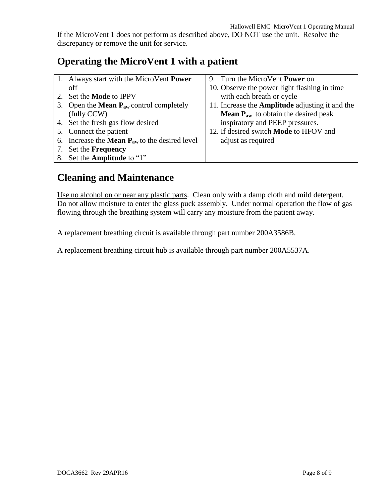If the MicroVent 1 does not perform as described above, DO NOT use the unit. Resolve the discrepancy or remove the unit for service.

### **Operating the MicroVent 1 with a patient**

| 1. Always start with the MicroVent <b>Power</b>                      | 9. Turn the MicroVent <b>Power</b> on                      |
|----------------------------------------------------------------------|------------------------------------------------------------|
| off                                                                  | 10. Observe the power light flashing in time               |
| 2. Set the <b>Mode</b> to IPPV                                       | with each breath or cycle                                  |
| 3. Open the <b>Mean <math>P_{aw}</math></b> control completely       | 11. Increase the <b>Amplitude</b> adjusting it and the     |
| (fully CCW)                                                          | <b>Mean <math>P_{aw}</math></b> to obtain the desired peak |
| 4. Set the fresh gas flow desired                                    | inspiratory and PEEP pressures.                            |
| 5. Connect the patient                                               | 12. If desired switch <b>Mode</b> to HFOV and              |
| 6. Increase the <b>Mean <math>P_{aw}</math></b> to the desired level | adjust as required                                         |
| 7. Set the <b>Frequency</b>                                          |                                                            |
| 8. Set the <b>Amplitude</b> to "1"                                   |                                                            |

### **Cleaning and Maintenance**

Use no alcohol on or near any plastic parts. Clean only with a damp cloth and mild detergent. Do not allow moisture to enter the glass puck assembly. Under normal operation the flow of gas flowing through the breathing system will carry any moisture from the patient away.

A replacement breathing circuit is available through part number 200A3586B.

A replacement breathing circuit hub is available through part number 200A5537A.